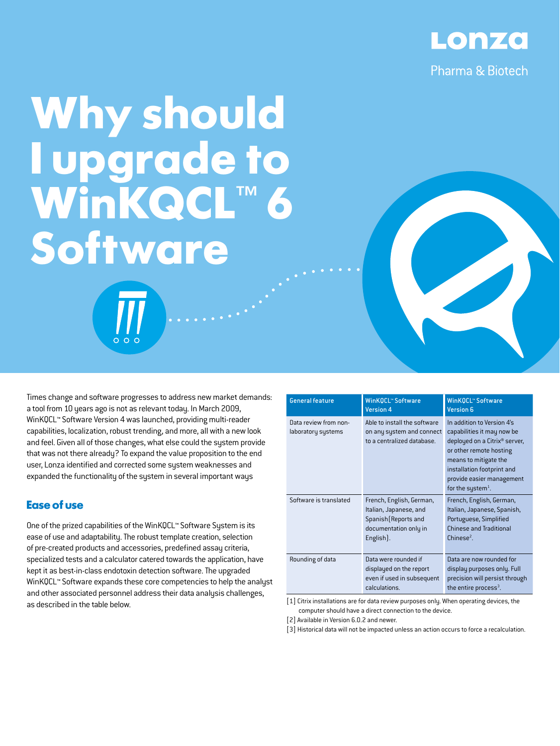

# **Why should I upgrade to WinKQCL™ 6 Software**

Times change and software progresses to address new market demands: a tool from 10 years ago is not as relevant today. In March 2009, WinKQCL™ Software Version 4 was launched, providing multi-reader capabilities, localization, robust trending, and more, all with a new look and feel. Given all of those changes, what else could the system provide that was not there already? To expand the value proposition to the end user, Lonza identified and corrected some system weaknesses and expanded the functionality of the system in several important ways

### **Ease of use**

One of the prized capabilities of the WinKQCL™ Software System is its ease of use and adaptability. The robust template creation, selection of pre-created products and accessories, predefined assay criteria, specialized tests and a calculator catered towards the application, have kept it as best-in-class endotoxin detection software. The upgraded WinKQCL™ Software expands these core competencies to help the analyst and other associated personnel address their data analysis challenges, as described in the table below.

| <b>General feature</b>                      | <b>WinKQCL™ Software</b><br><b>Version 4</b>                                                                     | <b>WinKQCL™ Software</b><br><b>Version 6</b>                                                                                                                                                                                                          |
|---------------------------------------------|------------------------------------------------------------------------------------------------------------------|-------------------------------------------------------------------------------------------------------------------------------------------------------------------------------------------------------------------------------------------------------|
| Data review from non-<br>laboratory systems | Able to install the software<br>on any system and connect<br>to a centralized database.                          | In addition to Version 4's<br>capabilities it may now be<br>deployed on a Citrix <sup>®</sup> server,<br>or other remote hosting<br>means to mitigate the<br>installation footprint and<br>provide easier management<br>for the system <sup>1</sup> . |
| Software is translated                      | French, English, German,<br>Italian, Japanese, and<br>Spanish (Reports and<br>documentation only in<br>English). | French, English, German,<br>Italian, Japanese, Spanish,<br>Portuguese, Simplified<br><b>Chinese and Traditional</b><br>$Chinese2$ .                                                                                                                   |
| Rounding of data                            | Data were rounded if<br>displayed on the report<br>even if used in subsequent<br>calculations.                   | Data are now rounded for<br>display purposes only. Full<br>precision will persist through<br>the entire process <sup>3</sup> .                                                                                                                        |

[1] Citrix installations are for data review purposes only. When operating devices, the computer should have a direct connection to the device.

[2] Available in Version 6.0.2 and newer.

[3] Historical data will not be impacted unless an action occurs to force a recalculation.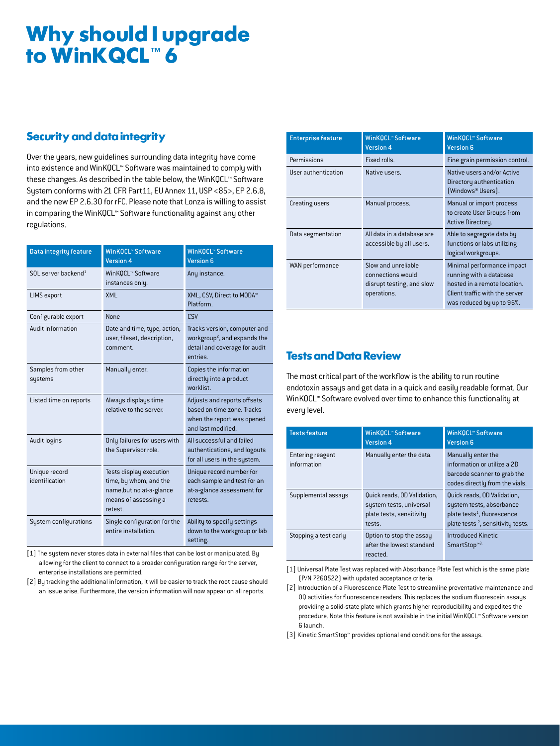# **Why should I upgrade to WinKQCL™ 6**

## **Security and data integrity**

Over the years, new guidelines surrounding data integrity have come into existence and WinKQCL™ Software was maintained to comply with these changes. As described in the table below, the WinKQCL™ Software System conforms with 21 CFR Part11, EU Annex 11, USP <85>, EP 2.6.8, and the new EP 2.6.30 for rFC. Please note that Lonza is willing to assist in comparing the WinKQCL™ Software functionality against any other regulations.

| <b>Data integrity feature</b>     | <b>WinKQCL™ Software</b><br><b>Version 4</b>                                                                     | <b>WinKQCL™ Software</b><br><b>Version 6</b>                                                                          |
|-----------------------------------|------------------------------------------------------------------------------------------------------------------|-----------------------------------------------------------------------------------------------------------------------|
| $SOL$ server backend <sup>1</sup> | WinKQCL™ Software<br>instances only.                                                                             | Any instance.                                                                                                         |
| <b>LIMS</b> export                | XMI                                                                                                              | XML, CSV, Direct to MODA™<br>Platform                                                                                 |
| Configurable export               | <b>None</b>                                                                                                      | CSV                                                                                                                   |
| Audit information                 | Date and time, type, action,<br>user, fileset, description,<br>comment.                                          | Tracks version, computer and<br>workgroup <sup>2</sup> , and expands the<br>detail and coverage for audit<br>entries. |
| Samples from other<br>systems     | Manually enter.                                                                                                  | Copies the information<br>directly into a product<br>worklist.                                                        |
| Listed time on reports            | Always displays time<br>relative to the server.                                                                  | Adjusts and reports offsets<br>based on time zone. Tracks<br>when the report was opened<br>and last modified.         |
| <b>Audit logins</b>               | Only failures for users with<br>the Supervisor role.                                                             | All successful and failed<br>authentications, and logouts<br>for all users in the system.                             |
| Unique record<br>identification   | Tests display execution<br>time, by whom, and the<br>name, but no at-a-glance<br>means of assessing a<br>retest. | Unique record number for<br>each sample and test for an<br>at-a-glance assessment for<br>retests.                     |
| System configurations             | Single configuration for the<br>entire installation.                                                             | Ability to specify settings<br>down to the workgroup or lab<br>setting.                                               |

[1] The system never stores data in external files that can be lost or manipulated. By allowing for the client to connect to a broader configuration range for the server, enterprise installations are permitted.

[2] By tracking the additional information, it will be easier to track the root cause should an issue arise. Furthermore, the version information will now appear on all reports.

| <b>Enterprise feature</b> | <b>WinKQCL™ Software</b><br><b>Version 4</b>                                         | WinKOCL <sup>*</sup> Software<br><b>Version 6</b>                                                                                                    |
|---------------------------|--------------------------------------------------------------------------------------|------------------------------------------------------------------------------------------------------------------------------------------------------|
| Permissions               | Fixed rolls.                                                                         | Fine grain permission control.                                                                                                                       |
| User authentication       | Native users.                                                                        | Native users and/or Active<br>Directory authentication<br>(Windows® Users).                                                                          |
| Creating users            | Manual process.                                                                      | Manual or import process<br>to create User Groups from<br>Active Directory.                                                                          |
| Data segmentation         | All data in a database are<br>accessible by all users.                               | Able to segregate data by<br>functions or labs utilizing<br>logical workgroups.                                                                      |
| WAN performance           | Slow and unreliable<br>connections would<br>disrupt testing, and slow<br>operations. | Minimal performance impact<br>running with a database<br>hosted in a remote location.<br>Client traffic with the server<br>was reduced by up to 96%. |

### **Tests and Data Review**

The most critical part of the workflow is the ability to run routine endotoxin assays and get data in a quick and easily readable format. Our WinKQCL™ Software evolved over time to enhance this functionality at every level.

| <b>Tests feature</b>            | <b>WinKQCL™ Software</b><br><b>Version 4</b>                                                 | WinKQCL" Software<br><b>Version 6</b>                                                                                                               |
|---------------------------------|----------------------------------------------------------------------------------------------|-----------------------------------------------------------------------------------------------------------------------------------------------------|
| Entering reagent<br>information | Manually enter the data.                                                                     | Manually enter the<br>information or utilize a 2D<br>barcode scanner to grab the<br>codes directly from the vials.                                  |
| Supplemental assays             | Quick reads, OD Validation,<br>system tests, universal<br>plate tests, sensitivity<br>tests. | Quick reads, OD Validation,<br>system tests, absorbance<br>plate tests <sup>1</sup> , fluorescence<br>plate tests <sup>2</sup> , sensitivity tests. |
| Stopping a test early           | Option to stop the assay<br>after the lowest standard<br>reacted.                            | <b>Introduced Kinetic</b><br>SmartStop <sup>™3.</sup>                                                                                               |

[1] Universal Plate Test was replaced with Absorbance Plate Test which is the same plate (P/N 7260522) with updated acceptance criteria.

[2] Introduction of a Fluorescence Plate Test to streamline preventative maintenance and OQ activities for fluorescence readers. This replaces the sodium fluorescein assays providing a solid-state plate which grants higher reproducibility and expedites the procedure. Note this feature is not available in the initial WinKQCL™ Software version 6 launch.

[3] Kinetic SmartStop™ provides optional end conditions for the assays.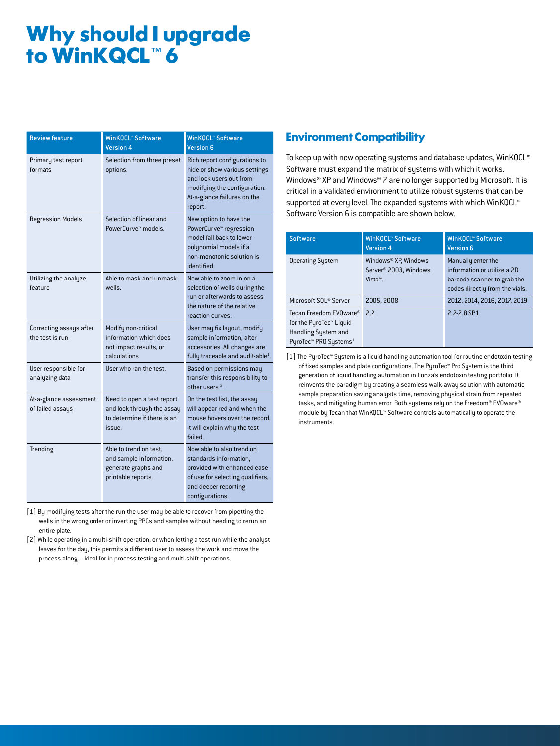# **Why should I upgrade to WinKQCL™ 6**

| <b>Review feature</b>                      | <b>WinKQCL™ Software</b><br><b>Version 4</b>                                                      | <b>WinKQCL™ Software</b><br><b>Version 6</b>                                                                                                                        |
|--------------------------------------------|---------------------------------------------------------------------------------------------------|---------------------------------------------------------------------------------------------------------------------------------------------------------------------|
| Primary test report<br>formats             | Selection from three preset<br>options.                                                           | Rich report configurations to<br>hide or show various settings<br>and lock users out from<br>modifuing the configuration.<br>At-a-glance failures on the<br>report. |
| <b>Regression Models</b>                   | Selection of linear and<br>PowerCurve <sup>™</sup> models.                                        | New option to have the<br>PowerCurve™ regression<br>model fall back to lower<br>polynomial models if a<br>non-monotonic solution is<br>identified.                  |
| Utilizing the analyze<br>feature           | Able to mask and unmask<br>wells                                                                  | Now able to zoom in on a<br>selection of wells during the<br>run or afterwards to assess<br>the nature of the relative<br>reaction curves.                          |
| Correcting assays after<br>the test is run | Modify non-critical<br>information which does<br>not impact results, or<br>calculations           | User may fix layout, modify<br>sample information, alter<br>accessories. All changes are<br>fully traceable and audit-able $^1$ .                                   |
| User responsible for<br>analyzing data     | User who ran the test.                                                                            | Based on permissions may<br>transfer this responsibility to<br>other users $2$ .                                                                                    |
| At-a-glance assessment<br>of failed assays | Need to open a test report<br>and look through the assay<br>to determine if there is an<br>issue. | On the test list, the assay<br>will appear red and when the<br>mouse hovers over the record,<br>it will explain why the test<br>failed                              |
| Trending                                   | Able to trend on test,<br>and sample information,<br>generate graphs and<br>printable reports.    | Now able to also trend on<br>standards information,<br>provided with enhanced ease<br>of use for selecting qualifiers,<br>and deeper reporting<br>configurations.   |

[1] By modifying tests after the run the user may be able to recover from pipetting the wells in the wrong order or inverting PPCs and samples without needing to rerun an entire plate.

[2] While operating in a multi-shift operation, or when letting a test run while the analyst leaves for the day, this permits a different user to assess the work and move the process along – ideal for in process testing and multi-shift operations.

### **Environment Compatibility**

To keep up with new operating systems and database updates, WinKQCL™ Software must expand the matrix of systems with which it works. Windows® XP and Windows® 7 are no longer supported by Microsoft. It is critical in a validated environment to utilize robust systems that can be supported at every level. The expanded systems with which WinKQCL™ Software Version 6 is compatible are shown below.

| <b>Software</b>                                                                                               | <b>WinKQCL™ Software</b><br><b>Version 4</b>                         | <b>WinKOCL</b> <sup>*</sup> Software<br><b>Version 6</b>                                                           |
|---------------------------------------------------------------------------------------------------------------|----------------------------------------------------------------------|--------------------------------------------------------------------------------------------------------------------|
| <b>Operating System</b>                                                                                       | Windows® XP, Windows<br>Server <sup>®</sup> 2003, Windows<br>Vista™. | Manually enter the<br>information or utilize a 2D<br>barcode scanner to grab the<br>codes directly from the vials. |
| Microsoft SOL® Server                                                                                         | 2005.2008                                                            | 2012, 2014, 2016, 2017, 2019                                                                                       |
| Tecan Freedom EVOware®<br>for the PyroTec™ Liquid<br>Handling System and<br>PuroTec™ PRO Sustems <sup>1</sup> | 22                                                                   | 2.2-2.8 SP1                                                                                                        |

[1] The PyroTec™ System is a liquid handling automation tool for routine endotoxin testing of fixed samples and plate configurations. The PyroTec™ Pro System is the third generation of liquid handling automation in Lonza's endotoxin testing portfolio. It reinvents the paradigm by creating a seamless walk-away solution with automatic sample preparation saving analysts time, removing physical strain from repeated tasks, and mitigating human error. Both systems rely on the Freedom® EVOware® module by Tecan that WinKQCL™ Software controls automatically to operate the instruments.